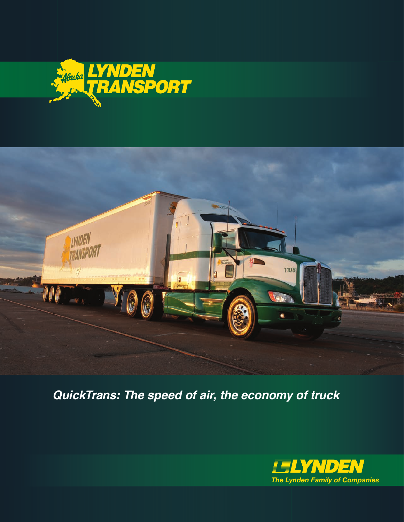



*QuickTrans: The speed of air, the economy of truck*

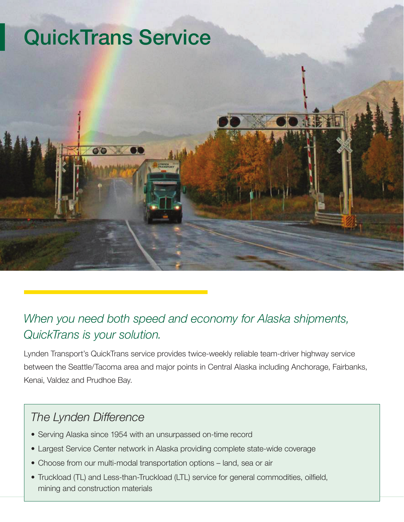## QuickTrans Service

60

## *When you need both speed and economy for Alaska shipments, QuickTrans is your solution.*

Lynden Transport's QuickTrans service provides twice-weekly reliable team-driver highway service between the Seattle/Tacoma area and major points in Central Alaska including Anchorage, Fairbanks, Kenai, Valdez and Prudhoe Bay.

## **The Lynden Difference**

- Serving Alaska since 1954 with an unsurpassed on-time record
- Largest Service Center network in Alaska providing complete state-wide coverage
- Choose from our multi-modal transportation options land, sea or air
- Truckload (TL) and Less-than-Truckload (LTL) service for general commodities, oilfield, mining and construction materials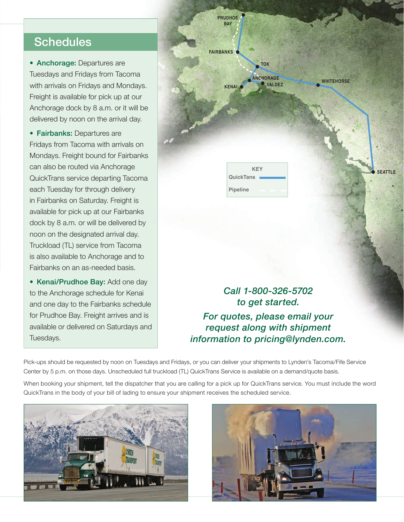## **Schedules**

• Anchorage: Departures are Tuesdays and Fridays from Tacoma with arrivals on Fridays and Mondays. Freight is available for pick up at our Anchorage dock by 8 a.m. or it will be delivered by noon on the arrival day.

• Fairbanks: Departures are Fridays from Tacoma with arrivals on Mondays. Freight bound for Fairbanks can also be routed via Anchorage QuickTrans service departing Tacoma each Tuesday for through delivery in Fairbanks on Saturday. Freight is available for pick up at our Fairbanks dock by 8 a.m. or will be delivered by noon on the designated arrival day. Truckload (TL) service from Tacoma is also available to Anchorage and to Fairbanks on an as-needed basis.

• Kenai/Prudhoe Bay: Add one day to the Anchorage schedule for Kenai and one day to the Fairbanks schedule for Prudhoe Bay. Freight arrives and is available or delivered on Saturdays and Tuesdays.



*For quotes, please email your request along with shipment information to pricing@lynden.com.*

Pick-ups should be requested by noon on Tuesdays and Fridays, or you can deliver your shipments to Lynden's Tacoma/Fife Service Center by 5 p.m. on those days. Unscheduled full truckload (TL) QuickTrans Service is available on a demand/quote basis.

When booking your shipment, tell the dispatcher that you are calling for a pick up for QuickTrans service. You must include the word QuickTrans in the body of your bill of lading to ensure your shipment receives the scheduled service.